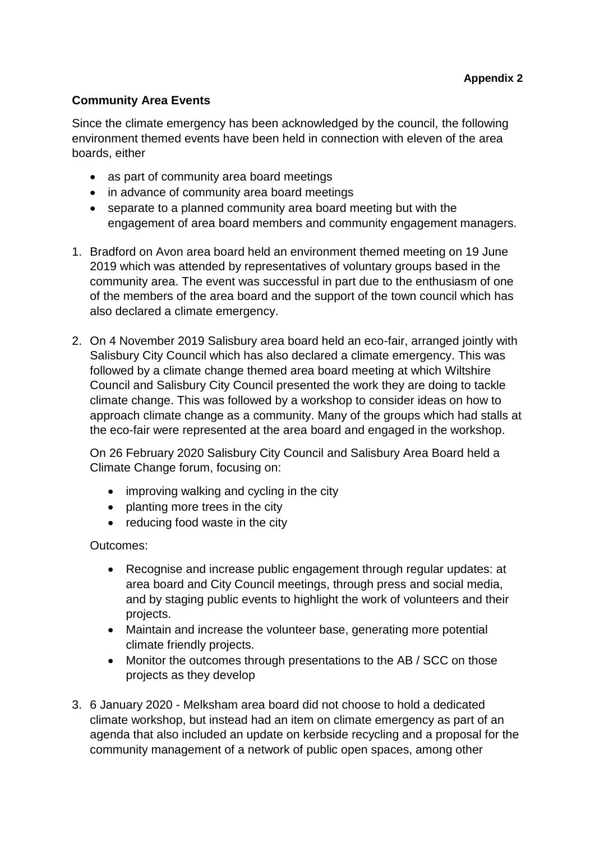## **Community Area Events**

Since the climate emergency has been acknowledged by the council, the following environment themed events have been held in connection with eleven of the area boards, either

- as part of community area board meetings
- in advance of community area board meetings
- separate to a planned community area board meeting but with the engagement of area board members and community engagement managers.
- 1. Bradford on Avon area board held an environment themed meeting on 19 June 2019 which was attended by representatives of voluntary groups based in the community area. The event was successful in part due to the enthusiasm of one of the members of the area board and the support of the town council which has also declared a climate emergency.
- 2. On 4 November 2019 Salisbury area board held an eco-fair, arranged jointly with Salisbury City Council which has also declared a climate emergency. This was followed by a climate change themed area board meeting at which Wiltshire Council and Salisbury City Council presented the work they are doing to tackle climate change. This was followed by a workshop to consider ideas on how to approach climate change as a community. Many of the groups which had stalls at the eco-fair were represented at the area board and engaged in the workshop.

On 26 February 2020 Salisbury City Council and Salisbury Area Board held a Climate Change forum, focusing on:

- improving walking and cycling in the city
- planting more trees in the city
- reducing food waste in the city

Outcomes:

- Recognise and increase public engagement through regular updates: at area board and City Council meetings, through press and social media, and by staging public events to highlight the work of volunteers and their projects.
- Maintain and increase the volunteer base, generating more potential climate friendly projects.
- Monitor the outcomes through presentations to the AB / SCC on those projects as they develop
- 3. 6 January 2020 Melksham area board did not choose to hold a dedicated climate workshop, but instead had an item on climate emergency as part of an agenda that also included an update on kerbside recycling and a proposal for the community management of a network of public open spaces, among other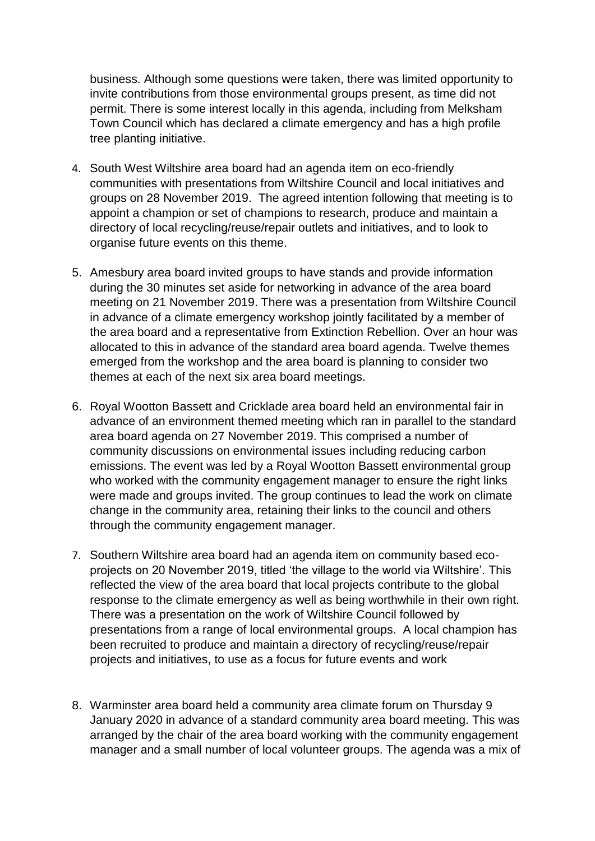business. Although some questions were taken, there was limited opportunity to invite contributions from those environmental groups present, as time did not permit. There is some interest locally in this agenda, including from Melksham Town Council which has declared a climate emergency and has a high profile tree planting initiative.

- 4. South West Wiltshire area board had an agenda item on eco-friendly communities with presentations from Wiltshire Council and local initiatives and groups on 28 November 2019. The agreed intention following that meeting is to appoint a champion or set of champions to research, produce and maintain a directory of local recycling/reuse/repair outlets and initiatives, and to look to organise future events on this theme.
- 5. Amesbury area board invited groups to have stands and provide information during the 30 minutes set aside for networking in advance of the area board meeting on 21 November 2019. There was a presentation from Wiltshire Council in advance of a climate emergency workshop jointly facilitated by a member of the area board and a representative from Extinction Rebellion. Over an hour was allocated to this in advance of the standard area board agenda. Twelve themes emerged from the workshop and the area board is planning to consider two themes at each of the next six area board meetings.
- 6. Royal Wootton Bassett and Cricklade area board held an environmental fair in advance of an environment themed meeting which ran in parallel to the standard area board agenda on 27 November 2019. This comprised a number of community discussions on environmental issues including reducing carbon emissions. The event was led by a Royal Wootton Bassett environmental group who worked with the community engagement manager to ensure the right links were made and groups invited. The group continues to lead the work on climate change in the community area, retaining their links to the council and others through the community engagement manager.
- 7. Southern Wiltshire area board had an agenda item on community based ecoprojects on 20 November 2019, titled 'the village to the world via Wiltshire'. This reflected the view of the area board that local projects contribute to the global response to the climate emergency as well as being worthwhile in their own right. There was a presentation on the work of Wiltshire Council followed by presentations from a range of local environmental groups. A local champion has been recruited to produce and maintain a directory of recycling/reuse/repair projects and initiatives, to use as a focus for future events and work
- 8. Warminster area board held a community area climate forum on Thursday 9 January 2020 in advance of a standard community area board meeting. This was arranged by the chair of the area board working with the community engagement manager and a small number of local volunteer groups. The agenda was a mix of